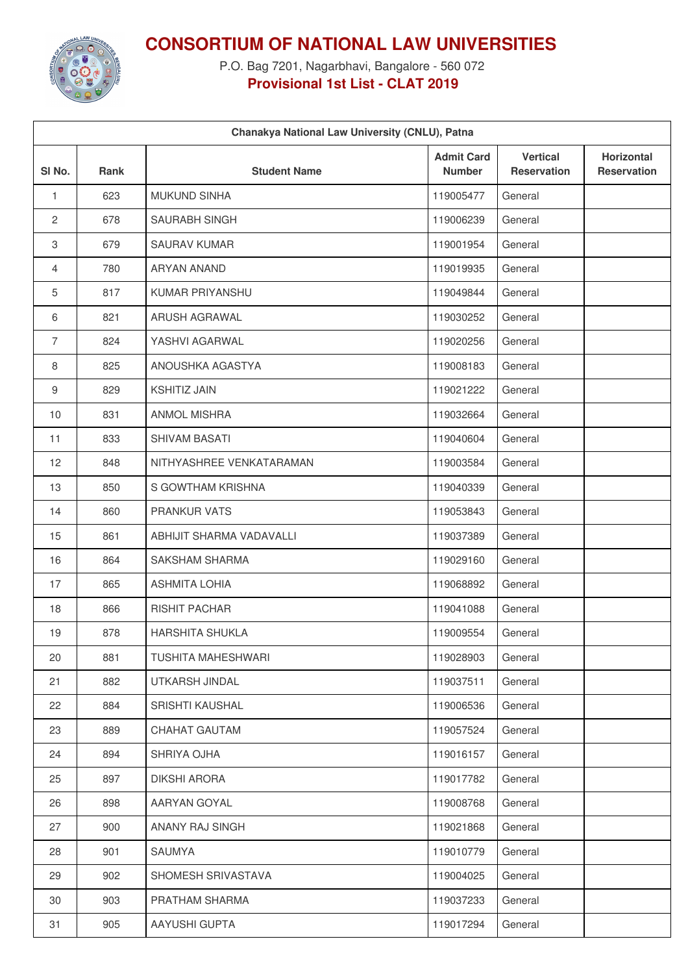

**CONSORTIUM OF NATIONAL LAW UNIVERSITIES**

P.O. Bag 7201, Nagarbhavi, Bangalore - 560 072 **Provisional 1st List - CLAT 2019**

| Chanakya National Law University (CNLU), Patna |      |                           |                                    |                                       |                                         |  |
|------------------------------------------------|------|---------------------------|------------------------------------|---------------------------------------|-----------------------------------------|--|
| SI No.                                         | Rank | <b>Student Name</b>       | <b>Admit Card</b><br><b>Number</b> | <b>Vertical</b><br><b>Reservation</b> | <b>Horizontal</b><br><b>Reservation</b> |  |
| 1                                              | 623  | <b>MUKUND SINHA</b>       | 119005477                          | General                               |                                         |  |
| 2                                              | 678  | SAURABH SINGH             | 119006239                          | General                               |                                         |  |
| $\ensuremath{\mathsf{3}}$                      | 679  | <b>SAURAV KUMAR</b>       | 119001954                          | General                               |                                         |  |
| $\overline{4}$                                 | 780  | <b>ARYAN ANAND</b>        | 119019935                          | General                               |                                         |  |
| 5                                              | 817  | KUMAR PRIYANSHU           | 119049844                          | General                               |                                         |  |
| 6                                              | 821  | ARUSH AGRAWAL             | 119030252                          | General                               |                                         |  |
| $\overline{7}$                                 | 824  | YASHVI AGARWAL            | 119020256                          | General                               |                                         |  |
| 8                                              | 825  | ANOUSHKA AGASTYA          | 119008183                          | General                               |                                         |  |
| $\boldsymbol{9}$                               | 829  | <b>KSHITIZ JAIN</b>       | 119021222                          | General                               |                                         |  |
| 10                                             | 831  | <b>ANMOL MISHRA</b>       | 119032664                          | General                               |                                         |  |
| 11                                             | 833  | SHIVAM BASATI             | 119040604                          | General                               |                                         |  |
| 12                                             | 848  | NITHYASHREE VENKATARAMAN  | 119003584                          | General                               |                                         |  |
| 13                                             | 850  | S GOWTHAM KRISHNA         | 119040339                          | General                               |                                         |  |
| 14                                             | 860  | <b>PRANKUR VATS</b>       | 119053843                          | General                               |                                         |  |
| 15                                             | 861  | ABHIJIT SHARMA VADAVALLI  | 119037389                          | General                               |                                         |  |
| 16                                             | 864  | <b>SAKSHAM SHARMA</b>     | 119029160                          | General                               |                                         |  |
| 17                                             | 865  | <b>ASHMITA LOHIA</b>      | 119068892                          | General                               |                                         |  |
| 18                                             | 866  | <b>RISHIT PACHAR</b>      | 119041088                          | General                               |                                         |  |
| 19                                             | 878  | <b>HARSHITA SHUKLA</b>    | 119009554                          | General                               |                                         |  |
| 20                                             | 881  | <b>TUSHITA MAHESHWARI</b> | 119028903                          | General                               |                                         |  |
| 21                                             | 882  | UTKARSH JINDAL            | 119037511                          | General                               |                                         |  |
| 22                                             | 884  | SRISHTI KAUSHAL           | 119006536                          | General                               |                                         |  |
| 23                                             | 889  | CHAHAT GAUTAM             | 119057524                          | General                               |                                         |  |
| 24                                             | 894  | SHRIYA OJHA               | 119016157                          | General                               |                                         |  |
| 25                                             | 897  | <b>DIKSHI ARORA</b>       | 119017782                          | General                               |                                         |  |
| 26                                             | 898  | AARYAN GOYAL              | 119008768                          | General                               |                                         |  |
| 27                                             | 900  | ANANY RAJ SINGH           | 119021868                          | General                               |                                         |  |
| 28                                             | 901  | SAUMYA                    | 119010779                          | General                               |                                         |  |
| 29                                             | 902  | SHOMESH SRIVASTAVA        | 119004025                          | General                               |                                         |  |
| 30                                             | 903  | PRATHAM SHARMA            | 119037233                          | General                               |                                         |  |
| 31                                             | 905  | AAYUSHI GUPTA             | 119017294                          | General                               |                                         |  |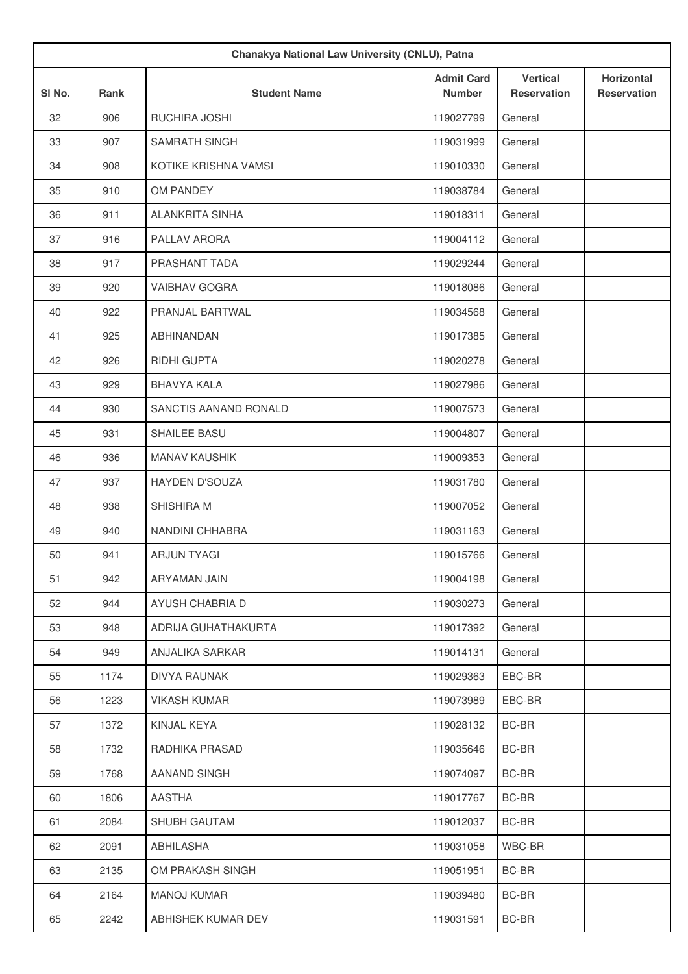| Chanakya National Law University (CNLU), Patna |      |                        |                                    |                                       |                                         |
|------------------------------------------------|------|------------------------|------------------------------------|---------------------------------------|-----------------------------------------|
| SI No.                                         | Rank | <b>Student Name</b>    | <b>Admit Card</b><br><b>Number</b> | <b>Vertical</b><br><b>Reservation</b> | <b>Horizontal</b><br><b>Reservation</b> |
| 32                                             | 906  | RUCHIRA JOSHI          | 119027799                          | General                               |                                         |
| 33                                             | 907  | <b>SAMRATH SINGH</b>   | 119031999                          | General                               |                                         |
| 34                                             | 908  | KOTIKE KRISHNA VAMSI   | 119010330                          | General                               |                                         |
| 35                                             | 910  | OM PANDEY              | 119038784                          | General                               |                                         |
| 36                                             | 911  | <b>ALANKRITA SINHA</b> | 119018311                          | General                               |                                         |
| 37                                             | 916  | PALLAV ARORA           | 119004112                          | General                               |                                         |
| 38                                             | 917  | PRASHANT TADA          | 119029244                          | General                               |                                         |
| 39                                             | 920  | <b>VAIBHAV GOGRA</b>   | 119018086                          | General                               |                                         |
| 40                                             | 922  | PRANJAL BARTWAL        | 119034568                          | General                               |                                         |
| 41                                             | 925  | <b>ABHINANDAN</b>      | 119017385                          | General                               |                                         |
| 42                                             | 926  | RIDHI GUPTA            | 119020278                          | General                               |                                         |
| 43                                             | 929  | <b>BHAVYA KALA</b>     | 119027986                          | General                               |                                         |
| 44                                             | 930  | SANCTIS AANAND RONALD  | 119007573                          | General                               |                                         |
| 45                                             | 931  | SHAILEE BASU           | 119004807                          | General                               |                                         |
| 46                                             | 936  | <b>MANAV KAUSHIK</b>   | 119009353                          | General                               |                                         |
| 47                                             | 937  | <b>HAYDEN D'SOUZA</b>  | 119031780                          | General                               |                                         |
| 48                                             | 938  | SHISHIRA M             | 119007052                          | General                               |                                         |
| 49                                             | 940  | NANDINI CHHABRA        | 119031163                          | General                               |                                         |
| 50                                             | 941  | <b>ARJUN TYAGI</b>     | 119015766                          | General                               |                                         |
| 51                                             | 942  | ARYAMAN JAIN           | 119004198                          | General                               |                                         |
| 52                                             | 944  | AYUSH CHABRIA D        | 119030273                          | General                               |                                         |
| 53                                             | 948  | ADRIJA GUHATHAKURTA    | 119017392                          | General                               |                                         |
| 54                                             | 949  | ANJALIKA SARKAR        | 119014131                          | General                               |                                         |
| 55                                             | 1174 | DIVYA RAUNAK           | 119029363                          | EBC-BR                                |                                         |
| 56                                             | 1223 | <b>VIKASH KUMAR</b>    | 119073989                          | EBC-BR                                |                                         |
| 57                                             | 1372 | KINJAL KEYA            | 119028132                          | BC-BR                                 |                                         |
| 58                                             | 1732 | RADHIKA PRASAD         | 119035646                          | BC-BR                                 |                                         |
| 59                                             | 1768 | AANAND SINGH           | 119074097                          | BC-BR                                 |                                         |
| 60                                             | 1806 | AASTHA                 | 119017767                          | BC-BR                                 |                                         |
| 61                                             | 2084 | SHUBH GAUTAM           | 119012037                          | BC-BR                                 |                                         |
| 62                                             | 2091 | ABHILASHA              | 119031058                          | WBC-BR                                |                                         |
| 63                                             | 2135 | OM PRAKASH SINGH       | 119051951                          | BC-BR                                 |                                         |
| 64                                             | 2164 | <b>MANOJ KUMAR</b>     | 119039480                          | BC-BR                                 |                                         |
| 65                                             | 2242 | ABHISHEK KUMAR DEV     | 119031591                          | BC-BR                                 |                                         |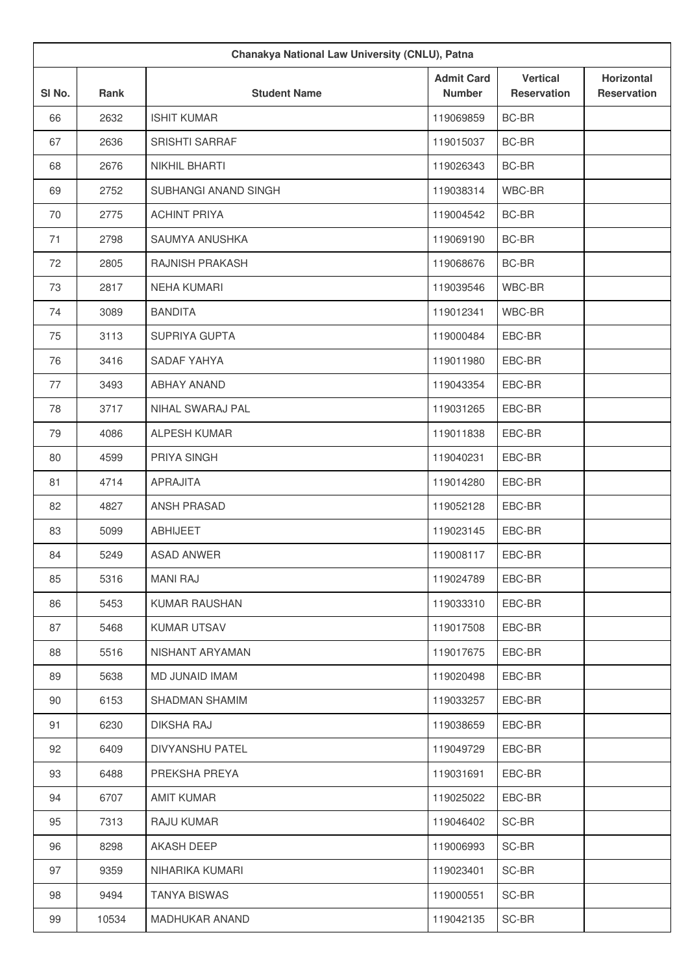| Chanakya National Law University (CNLU), Patna |       |                       |                                    |                                       |                                  |
|------------------------------------------------|-------|-----------------------|------------------------------------|---------------------------------------|----------------------------------|
| SI No.                                         | Rank  | <b>Student Name</b>   | <b>Admit Card</b><br><b>Number</b> | <b>Vertical</b><br><b>Reservation</b> | Horizontal<br><b>Reservation</b> |
| 66                                             | 2632  | <b>ISHIT KUMAR</b>    | 119069859                          | BC-BR                                 |                                  |
| 67                                             | 2636  | <b>SRISHTI SARRAF</b> | 119015037                          | BC-BR                                 |                                  |
| 68                                             | 2676  | NIKHIL BHARTI         | 119026343                          | BC-BR                                 |                                  |
| 69                                             | 2752  | SUBHANGI ANAND SINGH  | 119038314                          | WBC-BR                                |                                  |
| 70                                             | 2775  | <b>ACHINT PRIYA</b>   | 119004542                          | BC-BR                                 |                                  |
| 71                                             | 2798  | SAUMYA ANUSHKA        | 119069190                          | BC-BR                                 |                                  |
| 72                                             | 2805  | RAJNISH PRAKASH       | 119068676                          | BC-BR                                 |                                  |
| 73                                             | 2817  | <b>NEHA KUMARI</b>    | 119039546                          | WBC-BR                                |                                  |
| 74                                             | 3089  | <b>BANDITA</b>        | 119012341                          | WBC-BR                                |                                  |
| 75                                             | 3113  | <b>SUPRIYA GUPTA</b>  | 119000484                          | EBC-BR                                |                                  |
| 76                                             | 3416  | SADAF YAHYA           | 119011980                          | EBC-BR                                |                                  |
| 77                                             | 3493  | <b>ABHAY ANAND</b>    | 119043354                          | EBC-BR                                |                                  |
| 78                                             | 3717  | NIHAL SWARAJ PAL      | 119031265                          | EBC-BR                                |                                  |
| 79                                             | 4086  | <b>ALPESH KUMAR</b>   | 119011838                          | EBC-BR                                |                                  |
| 80                                             | 4599  | PRIYA SINGH           | 119040231                          | EBC-BR                                |                                  |
| 81                                             | 4714  | <b>APRAJITA</b>       | 119014280                          | EBC-BR                                |                                  |
| 82                                             | 4827  | ANSH PRASAD           | 119052128                          | EBC-BR                                |                                  |
| 83                                             | 5099  | <b>ABHIJEET</b>       | 119023145                          | EBC-BR                                |                                  |
| 84                                             | 5249  | <b>ASAD ANWER</b>     | 119008117                          | EBC-BR                                |                                  |
| 85                                             | 5316  | <b>MANI RAJ</b>       | 119024789                          | EBC-BR                                |                                  |
| 86                                             | 5453  | KUMAR RAUSHAN         | 119033310                          | EBC-BR                                |                                  |
| 87                                             | 5468  | <b>KUMAR UTSAV</b>    | 119017508                          | EBC-BR                                |                                  |
| 88                                             | 5516  | NISHANT ARYAMAN       | 119017675                          | EBC-BR                                |                                  |
| 89                                             | 5638  | MD JUNAID IMAM        | 119020498                          | EBC-BR                                |                                  |
| 90                                             | 6153  | SHADMAN SHAMIM        | 119033257                          | EBC-BR                                |                                  |
| 91                                             | 6230  | DIKSHA RAJ            | 119038659                          | EBC-BR                                |                                  |
| 92                                             | 6409  | DIVYANSHU PATEL       | 119049729                          | EBC-BR                                |                                  |
| 93                                             | 6488  | PREKSHA PREYA         | 119031691                          | EBC-BR                                |                                  |
| 94                                             | 6707  | <b>AMIT KUMAR</b>     | 119025022                          | EBC-BR                                |                                  |
| 95                                             | 7313  | RAJU KUMAR            | 119046402                          | SC-BR                                 |                                  |
| 96                                             | 8298  | AKASH DEEP            | 119006993                          | SC-BR                                 |                                  |
| 97                                             | 9359  | NIHARIKA KUMARI       | 119023401                          | SC-BR                                 |                                  |
| 98                                             | 9494  | <b>TANYA BISWAS</b>   | 119000551                          | SC-BR                                 |                                  |
| 99                                             | 10534 | MADHUKAR ANAND        | 119042135                          | SC-BR                                 |                                  |